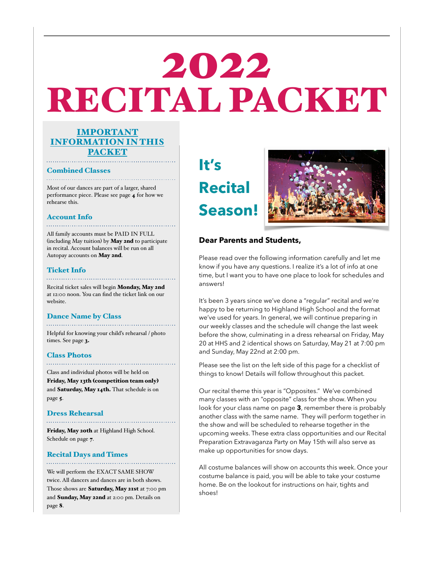# 2022 RECITAL PACKET

### IMPORTANT INFORMATION IN THIS PACKET

#### Combined Classes

Most of our dances are part of a larger, shared performance piece. Please see page 4 for how we rehearse this.

### Account Info

All family accounts must be PAID IN FULL (including May tuition) by May 2nd to participate in recital. Account balances will be run on all Autopay accounts on May 2nd.

#### Ticket Info

Recital ticket sales will begin Monday, May 2nd at 12:00 noon. You can find the ticket link on our website.

#### Dance Name by Class

Helpful for knowing your child's rehearsal / photo times. See page 3.

#### Class Photos

Class and individual photos will be held on Friday, May 13th (competition team only) and Saturday, May 14th. That schedule is on page 5.

#### Dress Rehearsal

Friday, May 20th at Highland High School. Schedule on page 7.

### Recital Days and Times

We will perform the EXACT SAME SHOW twice. All dancers and dances are in both shows. Those shows are Saturday, May 21st at 7:00 pm and Sunday, May 22nd at 2:00 pm. Details on page 8.

**It's Recital Season!**



### **Dear Parents and Students,**

Please read over the following information carefully and let me know if you have any questions. I realize it's a lot of info at one time, but I want you to have one place to look for schedules and answers!

It's been 3 years since we've done a "regular" recital and we're happy to be returning to Highland High School and the format we've used for years. In general, we will continue preparing in our weekly classes and the schedule will change the last week before the show, culminating in a dress rehearsal on Friday, May 20 at HHS and 2 identical shows on Saturday, May 21 at 7:00 pm and Sunday, May 22nd at 2:00 pm.

Please see the list on the left side of this page for a checklist of things to know! Details will follow throughout this packet.

Our recital theme this year is "Opposites." We've combined many classes with an "opposite" class for the show. When you look for your class name on page **3**, remember there is probably another class with the same name. They will perform together in the show and will be scheduled to rehearse together in the upcoming weeks. These extra class opportunities and our Recital Preparation Extravaganza Party on May 15th will also serve as make up opportunities for snow days.

All costume balances will show on accounts this week. Once your costume balance is paid, you will be able to take your costume home. Be on the lookout for instructions on hair, tights and shoes!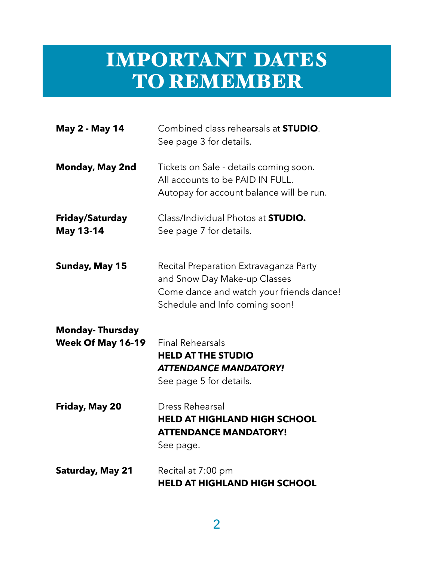## IMPORTANT DATES TO REMEMBER

| <b>May 2 - May 14</b>                              | Combined class rehearsals at <b>STUDIO</b> .<br>See page 3 for details.                                                                              |
|----------------------------------------------------|------------------------------------------------------------------------------------------------------------------------------------------------------|
| <b>Monday, May 2nd</b>                             | Tickets on Sale - details coming soon.<br>All accounts to be PAID IN FULL.<br>Autopay for account balance will be run.                               |
| Friday/Saturday<br><b>May 13-14</b>                | Class/Individual Photos at <b>STUDIO.</b><br>See page 7 for details.                                                                                 |
| <b>Sunday, May 15</b>                              | Recital Preparation Extravaganza Party<br>and Snow Day Make-up Classes<br>Come dance and watch your friends dance!<br>Schedule and Info coming soon! |
| <b>Monday-Thursday</b><br><b>Week Of May 16-19</b> | <b>Final Rehearsals</b><br><b>HELD AT THE STUDIO</b><br><b>ATTENDANCE MANDATORY!</b><br>See page 5 for details.                                      |
| Friday, May 20                                     | Dress Rehearsal<br><b>HELD AT HIGHLAND HIGH SCHOOL</b><br><b>ATTENDANCE MANDATORY!</b><br>See page.                                                  |
| <b>Saturday, May 21</b>                            | Recital at 7:00 pm<br><b>HELD AT HIGHLAND HIGH SCHOOL</b>                                                                                            |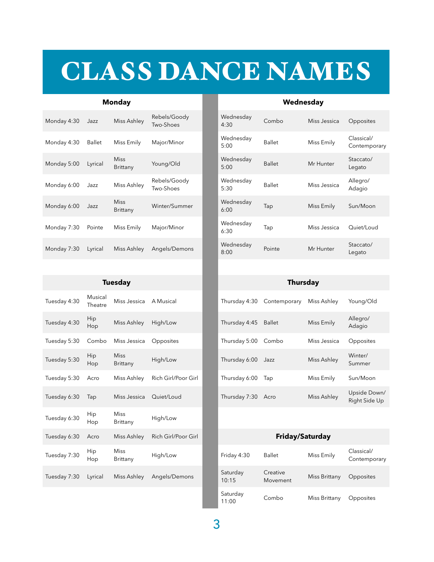## CLASS DANCE NAMES

### **Monday Wednesday**

| Monday 4:30 | Jazz    | Miss Ashley             | Rebels/Goody<br>Two-Shoes | Wednesday<br>4:30 |
|-------------|---------|-------------------------|---------------------------|-------------------|
| Monday 4:30 | Ballet  | Miss Emily              | Major/Minor               | Wednesday<br>5:00 |
| Monday 5:00 | Lyrical | <b>Miss</b><br>Brittany | Young/Old                 | Wednesday<br>5:00 |
| Monday 6:00 | Jazz    | Miss Ashley             | Rebels/Goody<br>Two-Shoes | Wednesday<br>5:30 |
| Monday 6:00 | Jazz    | <b>Miss</b><br>Brittany | Winter/Summer             | Wednesday<br>6:00 |
| Monday 7:30 | Pointe  | Miss Emily              | Major/Minor               | Wednesday<br>6:30 |
| Monday 7:30 | Lyrical | Miss Ashley             | Angels/Demons             | Wednesday<br>8:00 |

|              |                    | Tuesday                 |                     |                   | Thursday             |           |
|--------------|--------------------|-------------------------|---------------------|-------------------|----------------------|-----------|
| Tuesday 4:30 | Musical<br>Theatre | Miss Jessica            | A Musical           | Thursday 4:30     | Contemporary         | Miss Ash  |
| Tuesday 4:30 | Hip<br>Hop         | Miss Ashley             | High/Low            | Thursday 4:45     | <b>Ballet</b>        | Miss Emi  |
| Tuesday 5:30 | Combo              | Miss Jessica            | Opposites           | Thursday 5:00     | Combo                | Miss Jess |
| Tuesday 5:30 | Hip<br>Hop         | <b>Miss</b><br>Brittany | High/Low            | Thursday 6:00     | Jazz                 | Miss Ash  |
| Tuesday 5:30 | Acro               | Miss Ashley             | Rich Girl/Poor Girl | Thursday 6:00     | Tap                  | Miss Emi  |
| Tuesday 6:30 | Tap                | Miss Jessica            | Quiet/Loud          | Thursday 7:30     | Acro                 | Miss Ash  |
| Tuesday 6:30 | <b>Hip</b><br>Hop  | <b>Miss</b><br>Brittany | High/Low            |                   |                      |           |
| Tuesday 6:30 | Acro               | Miss Ashley             | Rich Girl/Poor Girl |                   | Friday/Saturday      |           |
| Tuesday 7:30 | Hip<br>Hop         | <b>Miss</b><br>Brittany | High/Low            | Friday 4:30       | <b>Ballet</b>        | Miss Emi  |
| Tuesday 7:30 | Lyrical            | Miss Ashley             | Angels/Demons       | Saturday<br>10:15 | Creative<br>Movement | Miss Brit |

### Wednesday<br>4:30 Combo Miss Jessica Opposites 5:00 Ballet Miss Emily Classical/ Contemporary Wednesday<br>5:00 Ballet Mr Hunter Staccato/ Legato Wednesday<br>5:30 5:30 Ballet Miss Jessica Allegro/ Adagio 6:00 Tap Miss Emily Sun/Moon 6:30 Tap Miss Jessica Quiet/Loud Wednesday<br>8:00 Pointe Mr Hunter Staccato/ Legato

|              |                    | Tuesday                 |                     |               | Thursday      |              |                               |
|--------------|--------------------|-------------------------|---------------------|---------------|---------------|--------------|-------------------------------|
| Tuesday 4:30 | Musical<br>Theatre | Miss Jessica            | A Musical           | Thursday 4:30 | Contemporary  | Miss Ashley  | Young/Old                     |
| Tuesday 4:30 | Hip<br>Hop         | Miss Ashley             | High/Low            | Thursday 4:45 | <b>Ballet</b> | Miss Emily   | Allegro/<br>Adagio            |
| Tuesday 5:30 | Combo              | Miss Jessica            | Opposites           | Thursday 5:00 | Combo         | Miss Jessica | Opposites                     |
| Tuesday 5:30 | Hip<br>Hop         | <b>Miss</b><br>Brittany | High/Low            | Thursday 6:00 | Jazz          | Miss Ashley  | Winter/<br>Summer             |
| Tuesday 5:30 | Acro               | Miss Ashley             | Rich Girl/Poor Girl | Thursday 6:00 | Tap           | Miss Emily   | Sun/Moon                      |
| Tuesday 6:30 | Tap                | Miss Jessica            | Quiet/Loud          | Thursday 7:30 | Acro          | Miss Ashley  | Upside Down/<br>Right Side Up |

| Miss Ashley      | Rich Girl/Poor Girl | <b>Friday/Saturday</b> |                      |               |                            |  |
|------------------|---------------------|------------------------|----------------------|---------------|----------------------------|--|
| Miss<br>Brittany | High/Low            | Friday 4:30            | <b>Ballet</b>        | Miss Emily    | Classical/<br>Contemporary |  |
| Miss Ashley      | Angels/Demons       | Saturday<br>10:15      | Creative<br>Movement | Miss Brittany | Opposites                  |  |
|                  |                     | Saturday<br>11:00      | Combo                | Miss Brittany | Opposites                  |  |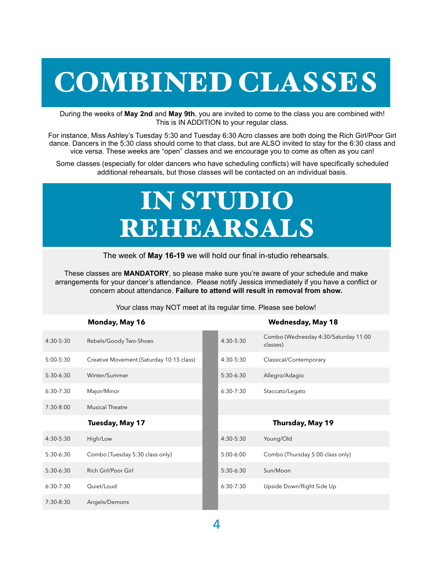# COMBINED CLASSES

During the weeks of **May 2nd** and **May 9th**, you are invited to come to the class you are combined with! This is IN ADDITION to your regular class.

For instance, Miss Ashley's Tuesday 5:30 and Tuesday 6:30 Acro classes are both doing the Rich Girl/Poor Girl dance. Dancers in the 5:30 class should come to that class, but are ALSO invited to stay for the 6:30 class and vice versa. These weeks are "open" classes and we encourage you to come as often as you can!

Some classes (especially for older dancers who have scheduling conflicts) will have specifically scheduled additional rehearsals, but those classes will be contacted on an individual basis.

## IN STUDIO REHEARSALS

The week of **May 16-19** we will hold our final in-studio rehearsals.

These classes are **MANDATORY**, so please make sure you're aware of your schedule and make arrangements for your dancer's attendance. Please notify Jessica immediately if you have a conflict or concern about attendance. **Failure to attend will result in removal from show.**

Your class may NOT meet at its regular time. Please see below!

|               | Monday, May 16                           |             | <b>Wednesday, May 18</b>                         |
|---------------|------------------------------------------|-------------|--------------------------------------------------|
| 4:30-5:30     | Rebels/Goody Two-Shoes                   | 4:30-5:30   | Combo (Wednesday 4:30/Saturday 11:00<br>classes) |
| $5:00 - 5:30$ | Creative Movement (Saturday 10:15 class) | 4:30-5:30   | Classical/Contemporary                           |
| 5:30-6:30     | Winter/Summer                            | 5:30-6:30   | Allegro/Adagio                                   |
| $6:30-7:30$   | Major/Minor                              | $6:30-7:30$ | Staccato/Legato                                  |
| 7:30-8:00     | <b>Musical Theatre</b>                   |             |                                                  |
|               |                                          |             |                                                  |
|               | Tuesday, May 17                          |             | Thursday, May 19                                 |
| 4:30-5:30     | High/Low                                 | 4:30-5:30   | Young/Old                                        |
| 5:30-6:30     | Combo (Tuesday 5:30 class only)          | $5:00-6:00$ | Combo (Thursday 5:00 class only)                 |
| $5:30-6:30$   | Rich Girl/Poor Girl                      | $5:30-6:30$ | Sun/Moon                                         |
| $6:30-7:30$   | Quiet/Loud                               | $6:30-7:30$ | Upside Down/Right Side Up                        |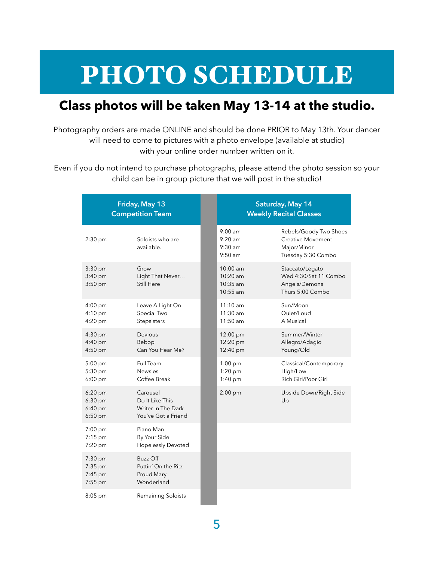## PHOTO SCHEDULE

## **Class photos will be taken May 13-14 at the studio.**

Photography orders are made ONLINE and should be done PRIOR to May 13th. Your dancer will need to come to pictures with a photo envelope (available at studio) with your online order number written on it.

Even if you do not intend to purchase photographs, please attend the photo session so your child can be in group picture that we will post in the studio!

| Friday, May 13<br><b>Competition Team</b>        |                                                                          | Saturday, May 14<br><b>Weekly Recital Classes</b>        |  |                                                                                         |  |
|--------------------------------------------------|--------------------------------------------------------------------------|----------------------------------------------------------|--|-----------------------------------------------------------------------------------------|--|
| 2:30 pm                                          | Soloists who are<br>available.                                           | $9:00 \text{ am}$<br>$9:20$ am<br>$9:30$ am<br>$9:50$ am |  | Rebels/Goody Two Shoes<br><b>Creative Movement</b><br>Major/Minor<br>Tuesday 5:30 Combo |  |
| 3:30 pm<br>$3:40$ pm<br>$3:50$ pm                | Grow<br>Light That Never<br>Still Here                                   | $10:00$ am<br>10:20 am<br>$10:35$ am<br>$10:55$ am       |  | Staccato/Legato<br>Wed 4:30/Sat 11 Combo<br>Angels/Demons<br>Thurs 5:00 Combo           |  |
| $4:00$ pm<br>4:10 pm<br>$4:20$ pm                | Leave A Light On<br>Special Two<br>Stepsisters                           | $11:10$ am<br>$11:30$ am<br>$11:50$ am                   |  | Sun/Moon<br>Quiet/Loud<br>A Musical                                                     |  |
| $4:30$ pm<br>$4:40$ pm<br>4:50 pm                | Devious<br>Bebop<br>Can You Hear Me?                                     | 12:00 pm<br>12:20 pm<br>12:40 pm                         |  | Summer/Winter<br>Allegro/Adagio<br>Young/Old                                            |  |
| $5:00$ pm<br>$5:30$ pm<br>$6:00$ pm              | Full Team<br><b>Newsies</b><br>Coffee Break                              | $1:00$ pm<br>1:20 pm<br>$1:40$ pm                        |  | Classical/Contemporary<br>High/Low<br>Rich Girl/Poor Girl                               |  |
| $6:20$ pm<br>$6:30$ pm<br>$6:40$ pm<br>$6:50$ pm | Carousel<br>Do It Like This<br>Writer In The Dark<br>You've Got a Friend | $2:00$ pm                                                |  | Upside Down/Right Side<br>Up                                                            |  |
| $7:00$ pm<br>$7:15$ pm<br>$7:20$ pm              | Piano Man<br>By Your Side<br><b>Hopelessly Devoted</b>                   |                                                          |  |                                                                                         |  |
| $7:30$ pm<br>$7:35$ pm<br>$7:45$ pm<br>7:55 pm   | Buzz Off<br>Puttin' On the Ritz<br>Proud Mary<br>Wonderland              |                                                          |  |                                                                                         |  |
| $8:05$ pm                                        | Remaining Soloists                                                       |                                                          |  |                                                                                         |  |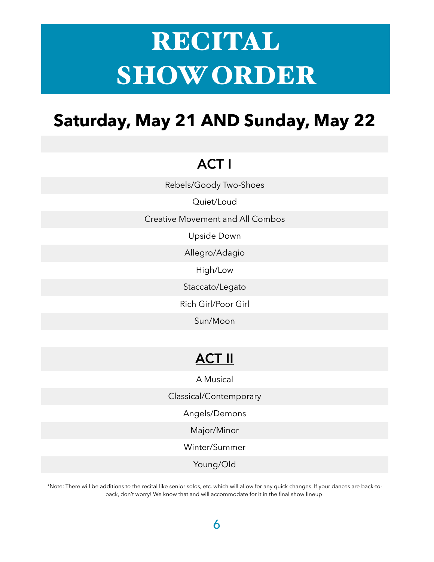# RECITAL SHOW ORDER

## **Saturday, May 21 AND Sunday, May 22**

## ACT I

Rebels/Goody Two-Shoes

Quiet/Loud

Creative Movement and All Combos

Upside Down

Allegro/Adagio

High/Low

Staccato/Legato

Rich Girl/Poor Girl

Sun/Moon

## ACT II

A Musical

Classical/Contemporary

Angels/Demons

Major/Minor

Winter/Summer

Young/Old

\*Note: There will be additions to the recital like senior solos, etc. which will allow for any quick changes. If your dances are back-toback, don't worry! We know that and will accommodate for it in the final show lineup!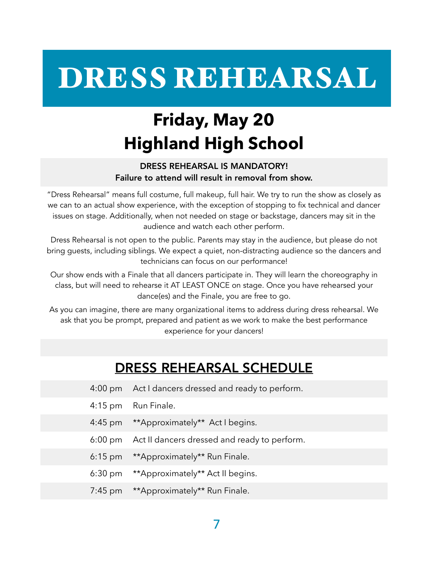# DRESS REHEARSAL

## **Friday, May 20 Highland High School**

### DRESS REHEARSAL IS MANDATORY! Failure to attend will result in removal from show.

"Dress Rehearsal" means full costume, full makeup, full hair. We try to run the show as closely as we can to an actual show experience, with the exception of stopping to fix technical and dancer issues on stage. Additionally, when not needed on stage or backstage, dancers may sit in the audience and watch each other perform.

Dress Rehearsal is not open to the public. Parents may stay in the audience, but please do not bring guests, including siblings. We expect a quiet, non-distracting audience so the dancers and technicians can focus on our performance!

Our show ends with a Finale that all dancers participate in. They will learn the choreography in class, but will need to rehearse it AT LEAST ONCE on stage. Once you have rehearsed your dance(es) and the Finale, you are free to go.

As you can imagine, there are many organizational items to address during dress rehearsal. We ask that you be prompt, prepared and patient as we work to make the best performance experience for your dancers!

## DRESS REHEARSAL SCHEDULE

- 4:00 pm Act I dancers dressed and ready to perform.
- 4:15 pm Run Finale.
- 4:45 pm \*\*Approximately\*\* Act I begins.
- 6:00 pm Act II dancers dressed and ready to perform.
- 6:15 pm \*\*Approximately\*\* Run Finale.
- 6:30 pm \*\*Approximately\*\* Act II begins.
- 7:45 pm \*\*Approximately\*\* Run Finale.